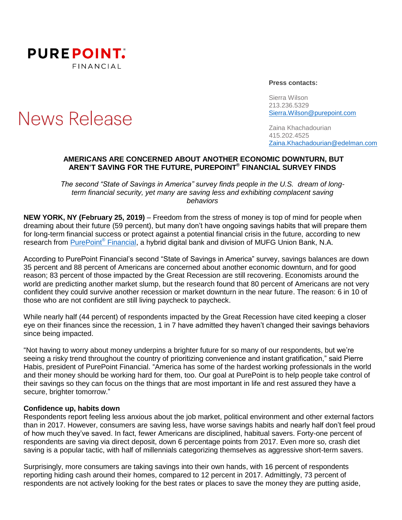

# News Release

**Press contacts:**

Sierra Wilson 213.236.5329 [Sierra.Wilson@purepoint.com](mailto:Sierra.Wilson@purepoint.com)

Zaina Khachadourian 415.202.4525 [Zaina.Khachadourian@edelman.com](mailto:Zaina.Khachadourian@edelman.com)

## **AMERICANS ARE CONCERNED ABOUT ANOTHER ECONOMIC DOWNTURN, BUT AREN'T SAVING FOR THE FUTURE, PUREPOINT ® FINANCIAL SURVEY FINDS**

*The second "State of Savings in America" survey finds people in the U.S. dream of longterm financial security, yet many are saving less and exhibiting complacent saving behaviors*

**NEW YORK, NY (February 25, 2019)** – Freedom from the stress of money is top of mind for people when dreaming about their future (59 percent), but many don't have ongoing savings habits that will prepare them for long-term financial success or protect against a potential financial crisis in the future, according to new research from [PurePoint](https://www.purepoint.com/)® Financial, a hybrid digital bank and division of MUFG Union Bank, N.A.

According to PurePoint Financial's second "State of Savings in America" survey, savings balances are down 35 percent and 88 percent of Americans are concerned about another economic downturn, and for good reason; 83 percent of those impacted by the Great Recession are still recovering. Economists around the world are predicting another market slump, but the research found that 80 percent of Americans are not very confident they could survive another recession or market downturn in the near future. The reason: 6 in 10 of those who are not confident are still living paycheck to paycheck.

While nearly half (44 percent) of respondents impacted by the Great Recession have cited keeping a closer eye on their finances since the recession, 1 in 7 have admitted they haven't changed their savings behaviors since being impacted.

"Not having to worry about money underpins a brighter future for so many of our respondents, but we're seeing a risky trend throughout the country of prioritizing convenience and instant gratification," said Pierre Habis, president of PurePoint Financial. "America has some of the hardest working professionals in the world and their money should be working hard for them, too. Our goal at PurePoint is to help people take control of their savings so they can focus on the things that are most important in life and rest assured they have a secure, brighter tomorrow."

#### **Confidence up, habits down**

Respondents report feeling less anxious about the job market, political environment and other external factors than in 2017. However, consumers are saving less, have worse savings habits and nearly half don't feel proud of how much they've saved. In fact, fewer Americans are disciplined, habitual savers. Forty-one percent of respondents are saving via direct deposit, down 6 percentage points from 2017. Even more so, crash diet saving is a popular tactic, with half of millennials categorizing themselves as aggressive short-term savers.

Surprisingly, more consumers are taking savings into their own hands, with 16 percent of respondents reporting hiding cash around their homes, compared to 12 percent in 2017. Admittingly, 73 percent of respondents are not actively looking for the best rates or places to save the money they are putting aside,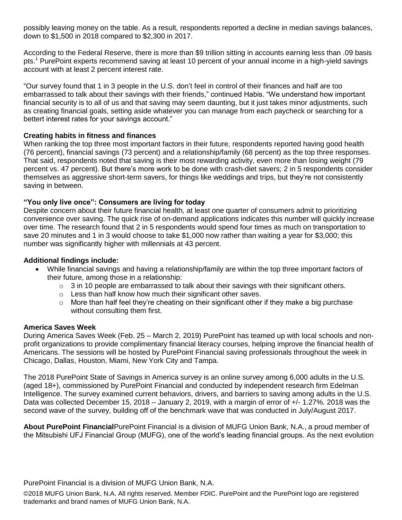possibly leaving money on the table. As a result, respondents reported a decline in median savings balances, down to \$1,500 in 2018 compared to \$2,300 in 2017.

According to the Federal Reserve, there is more than \$9 trillion sitting in accounts earning less than .09 basis pts. <sup>1</sup> PurePoint experts recommend saving at least 10 percent of your annual income in a high-yield savings account with at least 2 percent interest rate.

"Our survey found that 1 in 3 people in the U.S. don't feel in control of their finances and half are too embarrassed to talk about their savings with their friends," continued Habis. "We understand how important financial security is to all of us and that saving may seem daunting, but it just takes minor adjustments, such as creating financial goals, setting aside whatever you can manage from each paycheck or searching for a bettert interest rates for your savings account."

# **Creating habits in fitness and finances**

When ranking the top three most important factors in their future, respondents reported having good health (76 percent), financial savings (73 percent) and a relationship/family (68 percent) as the top three responses. That said, respondents noted that saving is their most rewarding activity, even more than losing weight (79 percent vs. 47 percent). But there's more work to be done with crash-diet savers; 2 in 5 respondents consider themselves as aggressive short-term savers, for things like weddings and trips, but they're not consistently saving in between.

# **"You only live once": Consumers are living for today**

Despite concern about their future financial health, at least one quarter of consumers admit to prioritizing convenience over saving. The quick rise of on-demand applications indicates this number will quickly increase over time. The research found that 2 in 5 respondents would spend four times as much on transportation to save 20 minutes and 1 in 3 would choose to take \$1,000 now rather than waiting a year for \$3,000; this number was significantly higher with millennials at 43 percent.

## **Additional findings include:**

- While financial savings and having a relationship/family are within the top three important factors of their future, among those in a relationship:
	- o 3 in 10 people are embarrassed to talk about their savings with their significant others.
	- $\circ$  Less than half know how much their significant other saves.
	- $\circ$  More than half feel they're cheating on their significant other if they make a big purchase without consulting them first.

## **America Saves Week**

During America Saves Week (Feb. 25 – March 2, 2019) PurePoint has teamed up with local schools and nonprofit organizations to provide complimentary financial literacy courses, helping improve the financial health of Americans. The sessions will be hosted by PurePoint Financial saving professionals throughout the week in Chicago, Dallas, Houston, Miami, New York City and Tampa.

The 2018 PurePoint State of Savings in America survey is an online survey among 6,000 adults in the U.S. (aged 18+), commissioned by PurePoint Financial and conducted by independent research firm Edelman Intelligence. The survey examined current behaviors, drivers, and barriers to saving among adults in the U.S. Data was collected December 15, 2018 – January 2, 2019, with a margin of error of +/- 1.27%. 2018 was the second wave of the survey, building off of the benchmark wave that was conducted in July/August 2017.

**About PurePoint Financial**PurePoint Financial is a division of MUFG Union Bank, N.A., a proud member of the Mitsubishi UFJ Financial Group (MUFG), one of the world's leading financial groups. As the next evolution

PurePoint Financial is a division of MUFG Union Bank, N.A.

©2018 MUFG Union Bank, N.A. All rights reserved. Member FDIC. PurePoint and the PurePoint logo are registered trademarks and brand names of MUFG Union Bank, N.A.